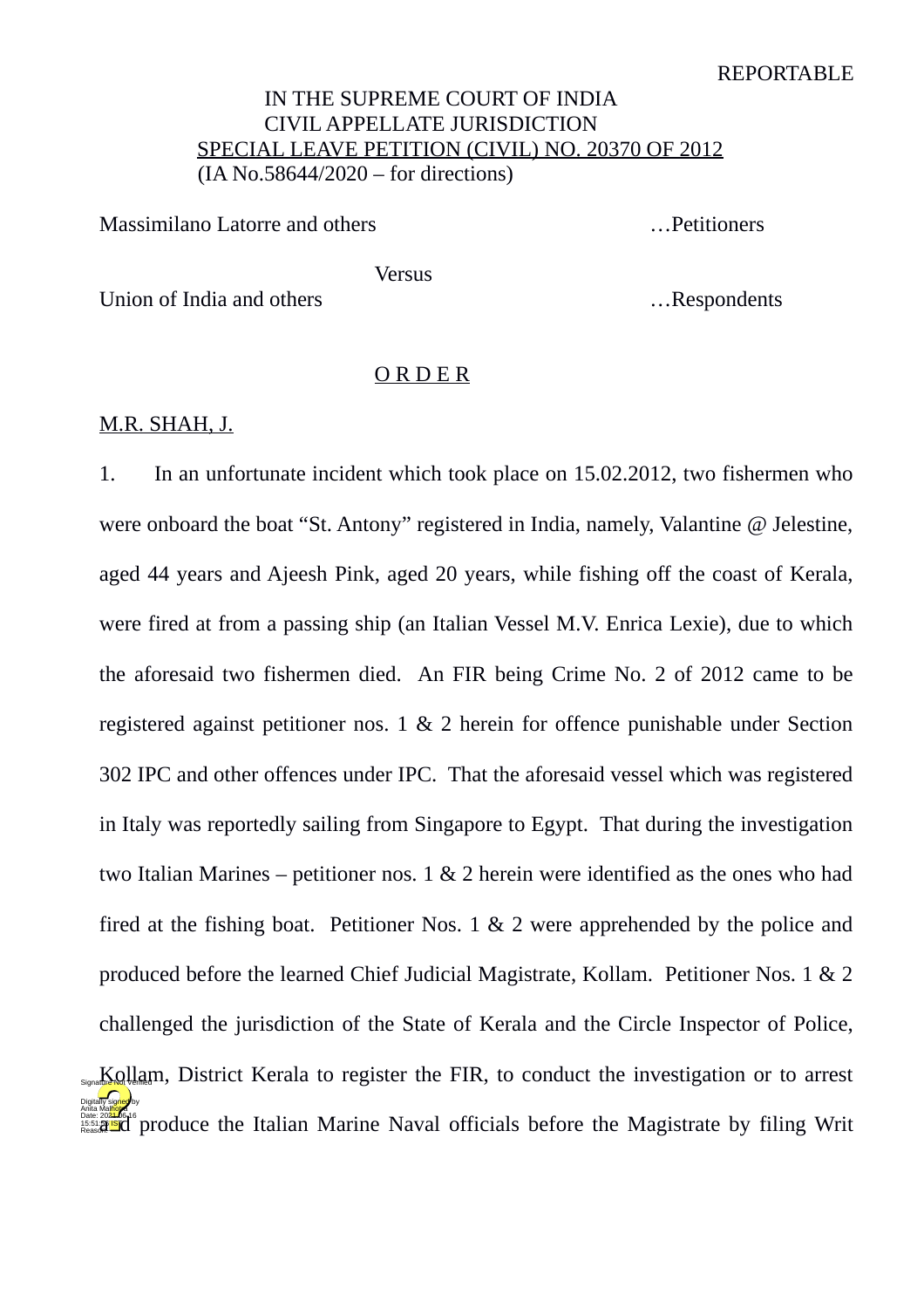### REPORTABLE

# IN THE SUPREME COURT OF INDIA CIVIL APPELLATE JURISDICTION SPECIAL LEAVE PETITION (CIVIL) NO. 20370 OF 2012 (IA No.58644/2020 – for directions)

Massimilano Latorre and others metal with the settlement of the settlement of the settlement of the Massimilano Latorre and others metal with the settlement of the settlement of the settlement of the settlement of the sett

**Versus** 

Union of India and others **Executes** 2. **Example 1.** The substitution of India and others **Executes** 2. **Example 1.** The substitution of India and others **Executes** 2. **Example 1.** The substitution of India and others **Exe** 

# O R D E R

## M.R. SHAH, J.

1. In an unfortunate incident which took place on 15.02.2012, two fishermen who were onboard the boat "St. Antony" registered in India, namely, Valantine  $\omega$  Jelestine, aged 44 years and Ajeesh Pink, aged 20 years, while fishing off the coast of Kerala, were fired at from a passing ship (an Italian Vessel M.V. Enrica Lexie), due to which the aforesaid two fishermen died. An FIR being Crime No. 2 of 2012 came to be registered against petitioner nos. 1 & 2 herein for offence punishable under Section 302 IPC and other offences under IPC. That the aforesaid vessel which was registered in Italy was reportedly sailing from Singapore to Egypt. That during the investigation two Italian Marines – petitioner nos. 1 & 2 herein were identified as the ones who had fired at the fishing boat. Petitioner Nos. 1 & 2 were apprehended by the police and produced before the learned Chief Judicial Magistrate, Kollam. Petitioner Nos. 1 & 2 challenged the jurisdiction of the State of Kerala and the Circle Inspector of Police, s<sub>sgaa</sub>Kollam, District Kerala to register the FIR, to conduct the investigation or to arrest Anita Magistrate by filing Write (2022).<br>Passign and produce the Italian Marine Naval officials before the Magistrate by filing Writ Digitally signed by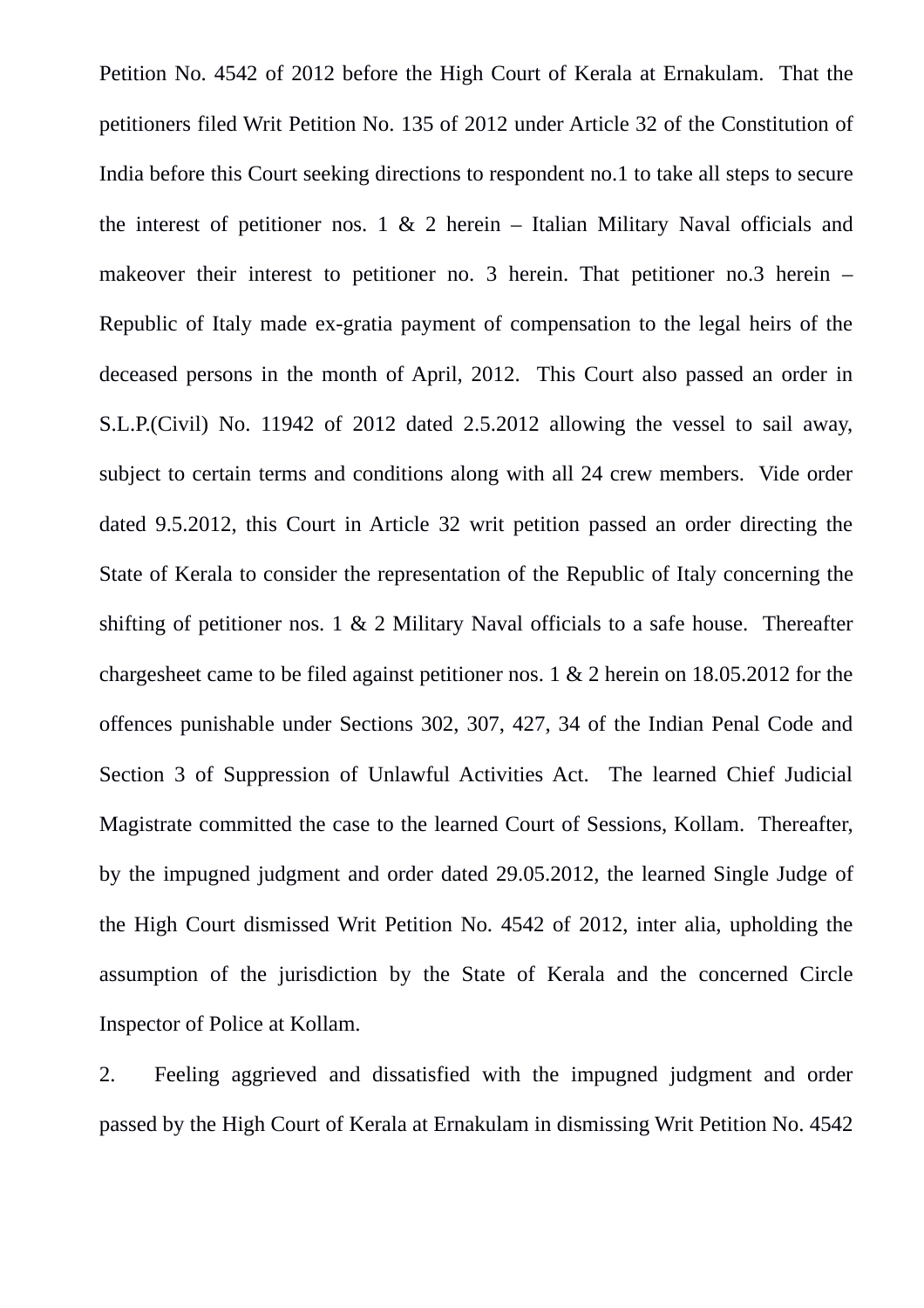Petition No. 4542 of 2012 before the High Court of Kerala at Ernakulam. That the petitioners filed Writ Petition No. 135 of 2012 under Article 32 of the Constitution of India before this Court seeking directions to respondent no.1 to take all steps to secure the interest of petitioner nos. 1 & 2 herein – Italian Military Naval officials and makeover their interest to petitioner no. 3 herein. That petitioner no.3 herein – Republic of Italy made ex-gratia payment of compensation to the legal heirs of the deceased persons in the month of April, 2012. This Court also passed an order in S.L.P.(Civil) No. 11942 of 2012 dated 2.5.2012 allowing the vessel to sail away, subject to certain terms and conditions along with all 24 crew members. Vide order dated 9.5.2012, this Court in Article 32 writ petition passed an order directing the State of Kerala to consider the representation of the Republic of Italy concerning the shifting of petitioner nos.  $1 \& 2$  Military Naval officials to a safe house. Thereafter chargesheet came to be filed against petitioner nos. 1 & 2 herein on 18.05.2012 for the offences punishable under Sections 302, 307, 427, 34 of the Indian Penal Code and Section 3 of Suppression of Unlawful Activities Act. The learned Chief Judicial Magistrate committed the case to the learned Court of Sessions, Kollam. Thereafter, by the impugned judgment and order dated 29.05.2012, the learned Single Judge of the High Court dismissed Writ Petition No. 4542 of 2012, inter alia, upholding the assumption of the jurisdiction by the State of Kerala and the concerned Circle Inspector of Police at Kollam.

2. Feeling aggrieved and dissatisfied with the impugned judgment and order passed by the High Court of Kerala at Ernakulam in dismissing Writ Petition No. 4542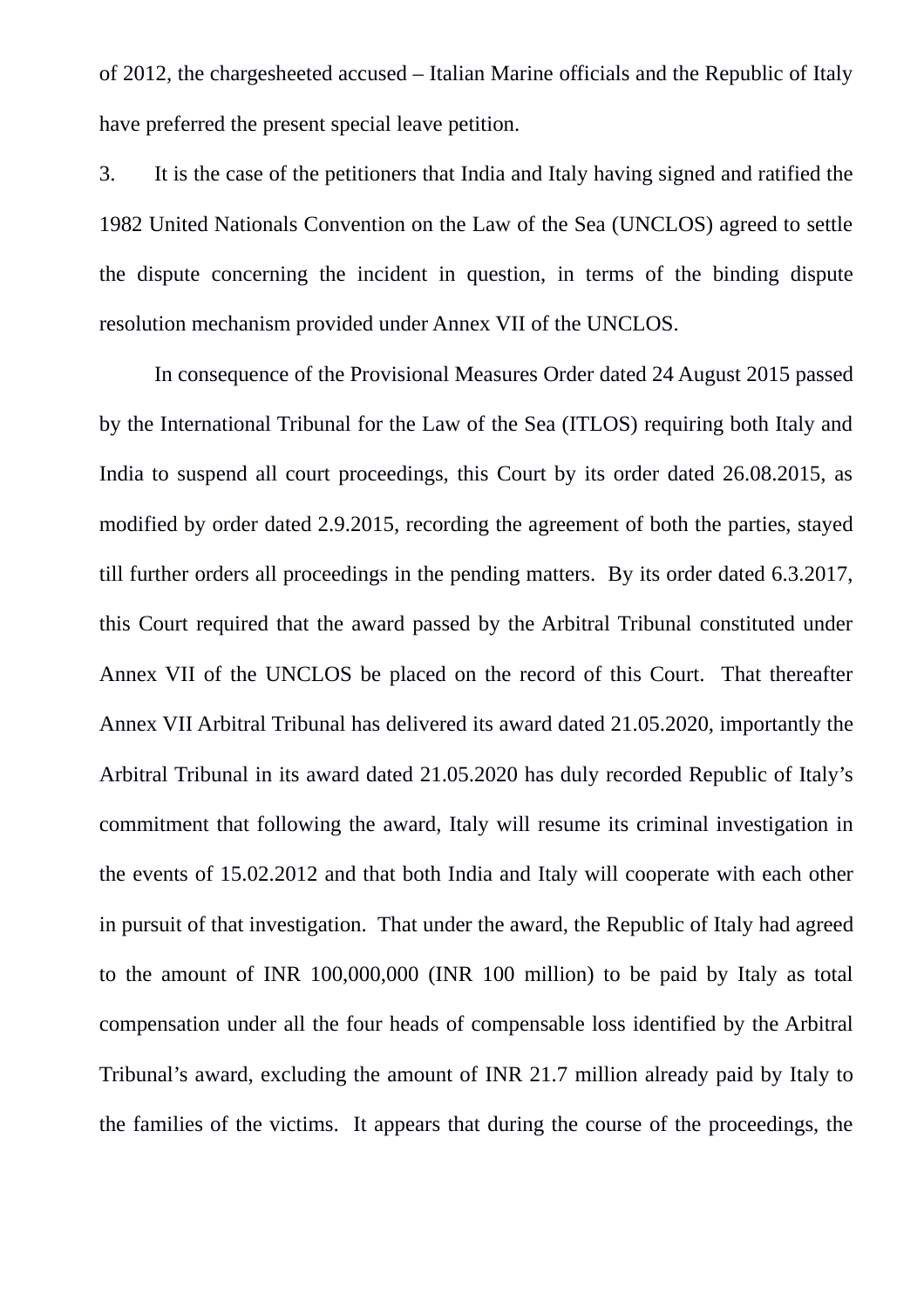of 2012, the chargesheeted accused – Italian Marine officials and the Republic of Italy have preferred the present special leave petition.

3. It is the case of the petitioners that India and Italy having signed and ratified the 1982 United Nationals Convention on the Law of the Sea (UNCLOS) agreed to settle the dispute concerning the incident in question, in terms of the binding dispute resolution mechanism provided under Annex VII of the UNCLOS.

In consequence of the Provisional Measures Order dated 24 August 2015 passed by the International Tribunal for the Law of the Sea (ITLOS) requiring both Italy and India to suspend all court proceedings, this Court by its order dated 26.08.2015, as modified by order dated 2.9.2015, recording the agreement of both the parties, stayed till further orders all proceedings in the pending matters. By its order dated 6.3.2017, this Court required that the award passed by the Arbitral Tribunal constituted under Annex VII of the UNCLOS be placed on the record of this Court. That thereafter Annex VII Arbitral Tribunal has delivered its award dated 21.05.2020, importantly the Arbitral Tribunal in its award dated 21.05.2020 has duly recorded Republic of Italy's commitment that following the award, Italy will resume its criminal investigation in the events of 15.02.2012 and that both India and Italy will cooperate with each other in pursuit of that investigation. That under the award, the Republic of Italy had agreed to the amount of INR 100,000,000 (INR 100 million) to be paid by Italy as total compensation under all the four heads of compensable loss identified by the Arbitral Tribunal's award, excluding the amount of INR 21.7 million already paid by Italy to the families of the victims. It appears that during the course of the proceedings, the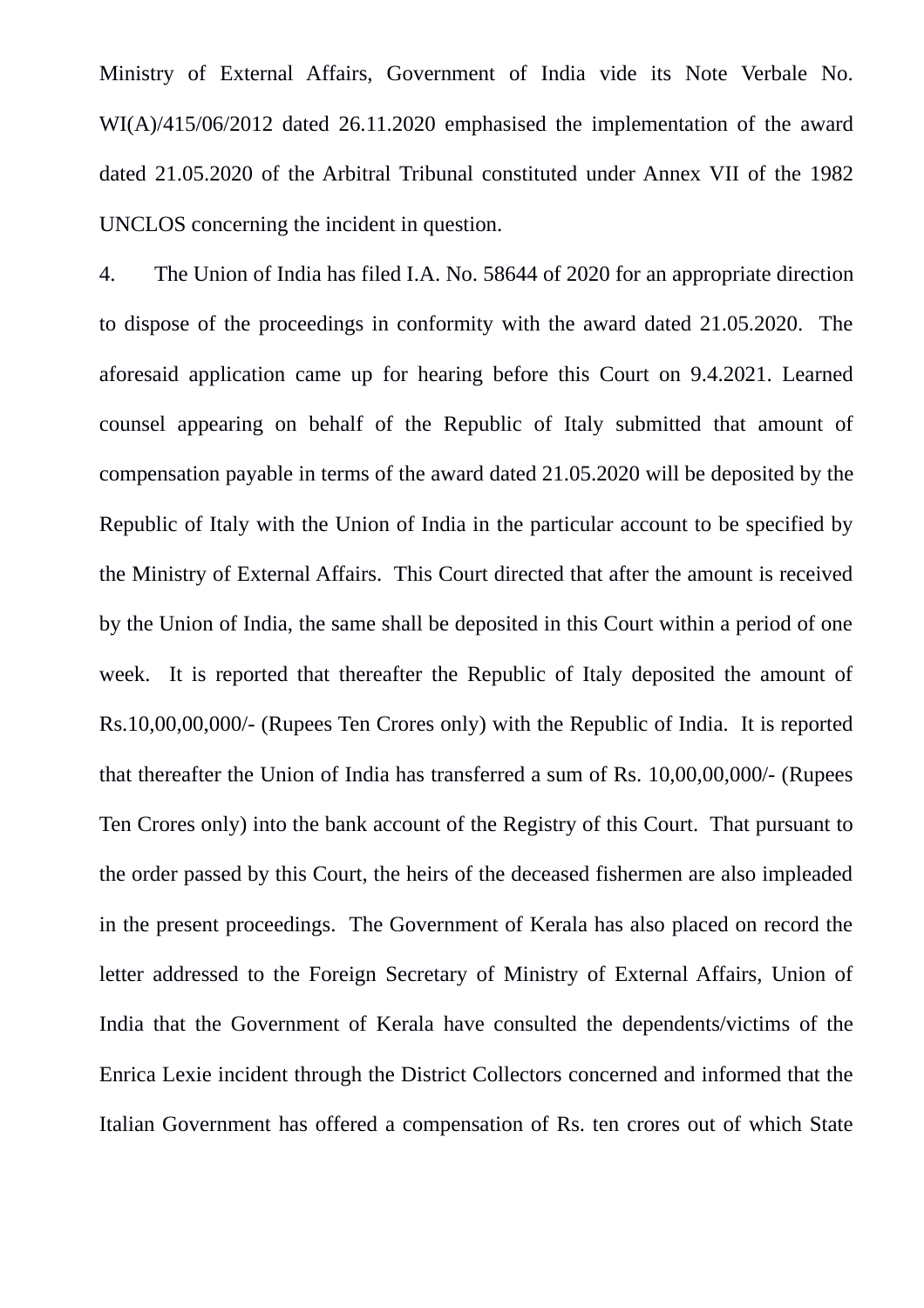Ministry of External Affairs, Government of India vide its Note Verbale No. WI(A)/415/06/2012 dated 26.11.2020 emphasised the implementation of the award dated 21.05.2020 of the Arbitral Tribunal constituted under Annex VII of the 1982 UNCLOS concerning the incident in question.

4. The Union of India has filed I.A. No. 58644 of 2020 for an appropriate direction to dispose of the proceedings in conformity with the award dated 21.05.2020. The aforesaid application came up for hearing before this Court on 9.4.2021. Learned counsel appearing on behalf of the Republic of Italy submitted that amount of compensation payable in terms of the award dated 21.05.2020 will be deposited by the Republic of Italy with the Union of India in the particular account to be specified by the Ministry of External Affairs. This Court directed that after the amount is received by the Union of India, the same shall be deposited in this Court within a period of one week. It is reported that thereafter the Republic of Italy deposited the amount of Rs.10,00,00,000/- (Rupees Ten Crores only) with the Republic of India. It is reported that thereafter the Union of India has transferred a sum of Rs. 10,00,00,000/- (Rupees Ten Crores only) into the bank account of the Registry of this Court. That pursuant to the order passed by this Court, the heirs of the deceased fishermen are also impleaded in the present proceedings. The Government of Kerala has also placed on record the letter addressed to the Foreign Secretary of Ministry of External Affairs, Union of India that the Government of Kerala have consulted the dependents/victims of the Enrica Lexie incident through the District Collectors concerned and informed that the Italian Government has offered a compensation of Rs. ten crores out of which State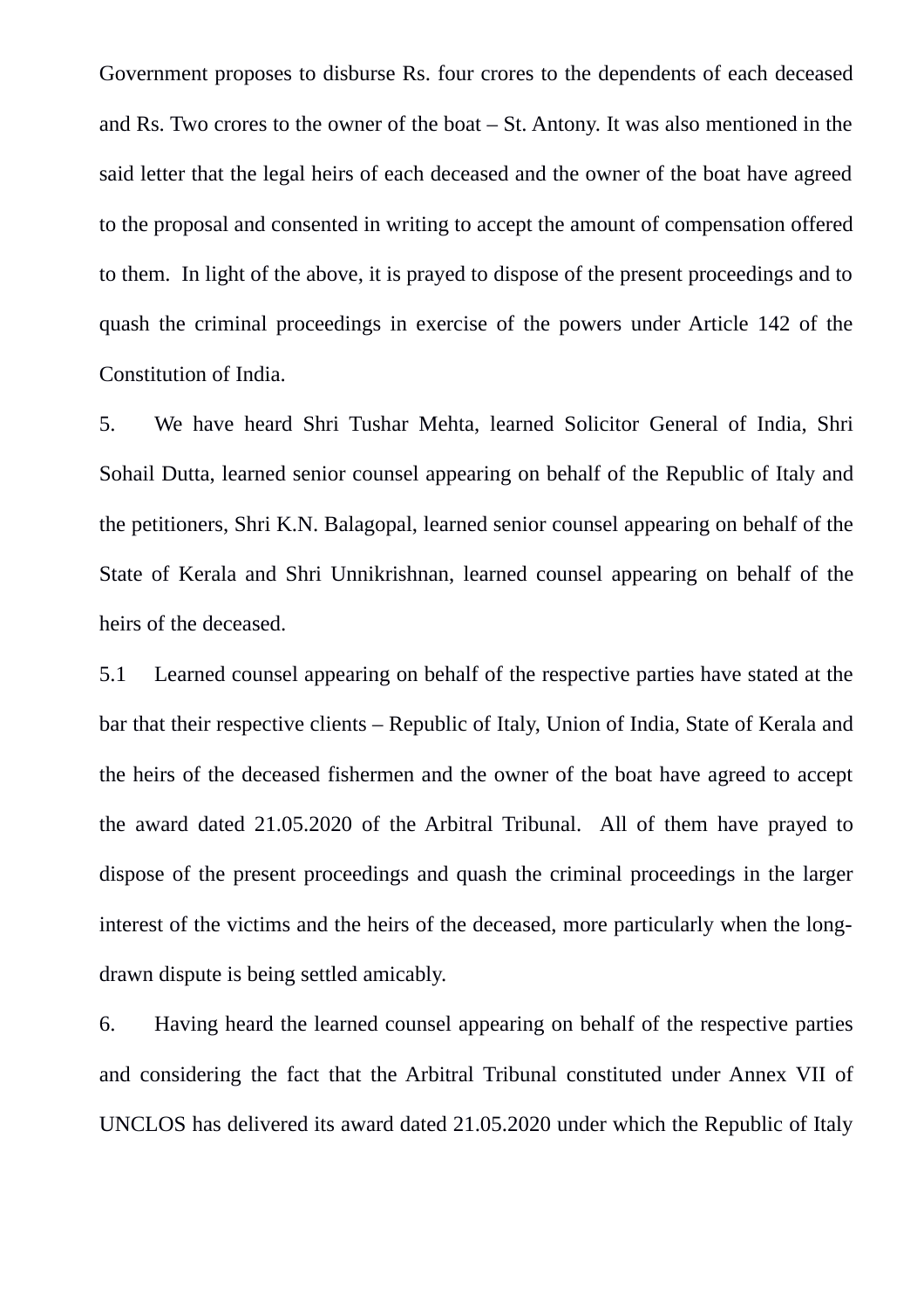Government proposes to disburse Rs. four crores to the dependents of each deceased and Rs. Two crores to the owner of the boat – St. Antony. It was also mentioned in the said letter that the legal heirs of each deceased and the owner of the boat have agreed to the proposal and consented in writing to accept the amount of compensation offered to them. In light of the above, it is prayed to dispose of the present proceedings and to quash the criminal proceedings in exercise of the powers under Article 142 of the Constitution of India.

5. We have heard Shri Tushar Mehta, learned Solicitor General of India, Shri Sohail Dutta, learned senior counsel appearing on behalf of the Republic of Italy and the petitioners, Shri K.N. Balagopal, learned senior counsel appearing on behalf of the State of Kerala and Shri Unnikrishnan, learned counsel appearing on behalf of the heirs of the deceased.

5.1 Learned counsel appearing on behalf of the respective parties have stated at the bar that their respective clients – Republic of Italy, Union of India, State of Kerala and the heirs of the deceased fishermen and the owner of the boat have agreed to accept the award dated 21.05.2020 of the Arbitral Tribunal. All of them have prayed to dispose of the present proceedings and quash the criminal proceedings in the larger interest of the victims and the heirs of the deceased, more particularly when the longdrawn dispute is being settled amicably.

6. Having heard the learned counsel appearing on behalf of the respective parties and considering the fact that the Arbitral Tribunal constituted under Annex VII of UNCLOS has delivered its award dated 21.05.2020 under which the Republic of Italy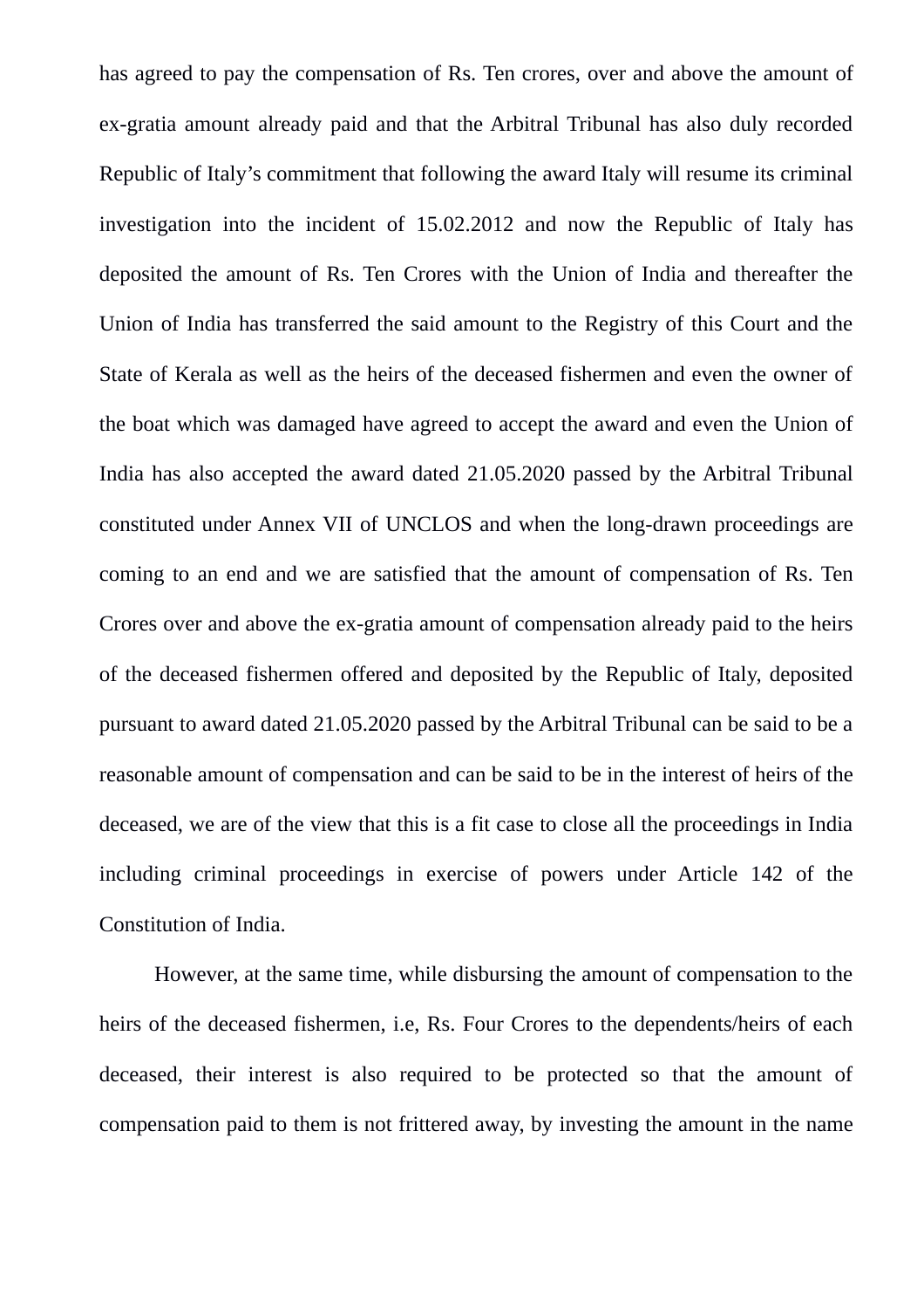has agreed to pay the compensation of Rs. Ten crores, over and above the amount of ex-gratia amount already paid and that the Arbitral Tribunal has also duly recorded Republic of Italy's commitment that following the award Italy will resume its criminal investigation into the incident of 15.02.2012 and now the Republic of Italy has deposited the amount of Rs. Ten Crores with the Union of India and thereafter the Union of India has transferred the said amount to the Registry of this Court and the State of Kerala as well as the heirs of the deceased fishermen and even the owner of the boat which was damaged have agreed to accept the award and even the Union of India has also accepted the award dated 21.05.2020 passed by the Arbitral Tribunal constituted under Annex VII of UNCLOS and when the long-drawn proceedings are coming to an end and we are satisfied that the amount of compensation of Rs. Ten Crores over and above the ex-gratia amount of compensation already paid to the heirs of the deceased fishermen offered and deposited by the Republic of Italy, deposited pursuant to award dated 21.05.2020 passed by the Arbitral Tribunal can be said to be a reasonable amount of compensation and can be said to be in the interest of heirs of the deceased, we are of the view that this is a fit case to close all the proceedings in India including criminal proceedings in exercise of powers under Article 142 of the Constitution of India.

However, at the same time, while disbursing the amount of compensation to the heirs of the deceased fishermen, i.e, Rs. Four Crores to the dependents/heirs of each deceased, their interest is also required to be protected so that the amount of compensation paid to them is not frittered away, by investing the amount in the name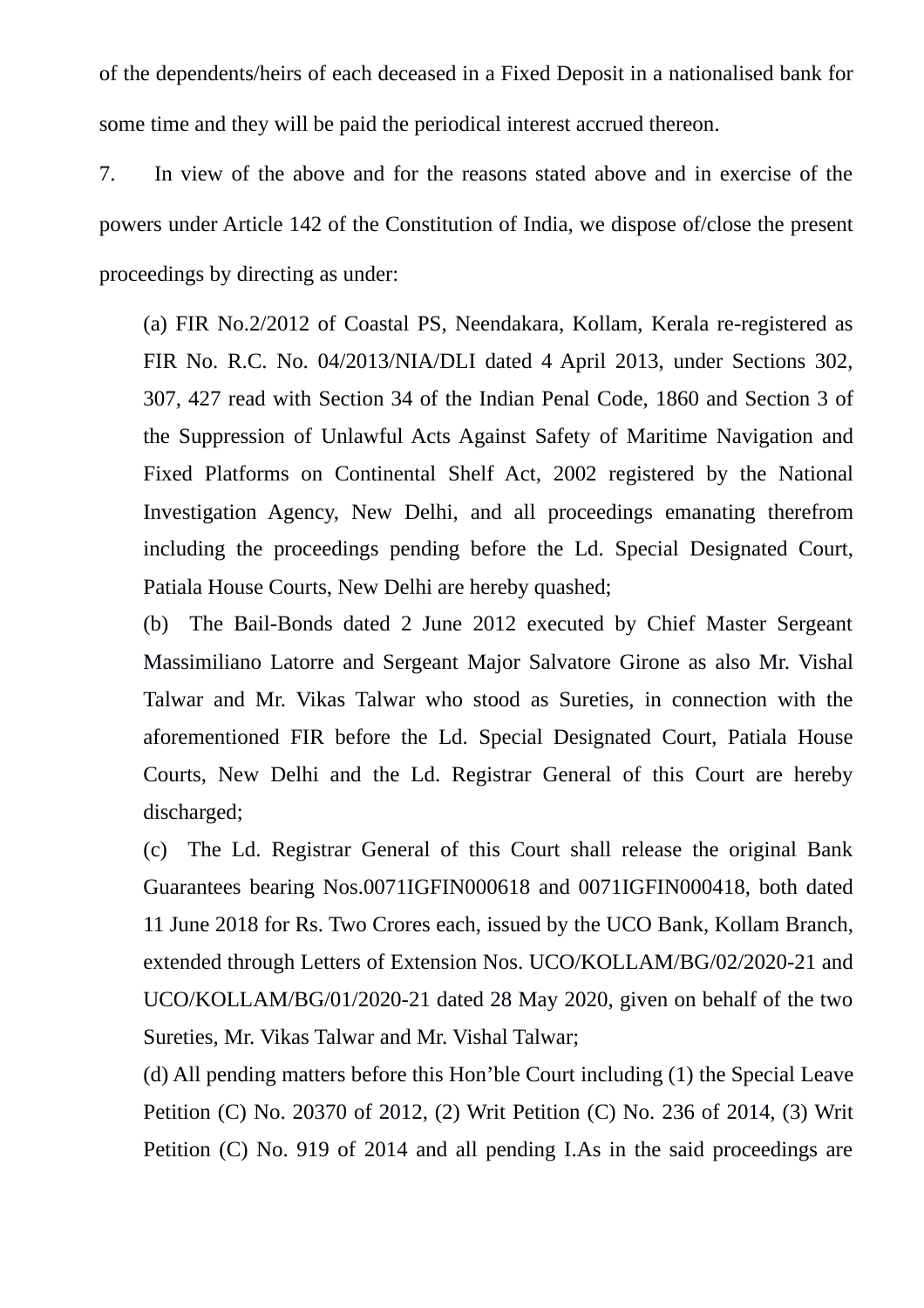of the dependents/heirs of each deceased in a Fixed Deposit in a nationalised bank for some time and they will be paid the periodical interest accrued thereon.

7. In view of the above and for the reasons stated above and in exercise of the powers under Article 142 of the Constitution of India, we dispose of/close the present proceedings by directing as under:

(a) FIR No.2/2012 of Coastal PS, Neendakara, Kollam, Kerala re-registered as FIR No. R.C. No. 04/2013/NIA/DLI dated 4 April 2013, under Sections 302, 307, 427 read with Section 34 of the Indian Penal Code, 1860 and Section 3 of the Suppression of Unlawful Acts Against Safety of Maritime Navigation and Fixed Platforms on Continental Shelf Act, 2002 registered by the National Investigation Agency, New Delhi, and all proceedings emanating therefrom including the proceedings pending before the Ld. Special Designated Court, Patiala House Courts, New Delhi are hereby quashed;

(b) The Bail-Bonds dated 2 June 2012 executed by Chief Master Sergeant Massimiliano Latorre and Sergeant Major Salvatore Girone as also Mr. Vishal Talwar and Mr. Vikas Talwar who stood as Sureties, in connection with the aforementioned FIR before the Ld. Special Designated Court, Patiala House Courts, New Delhi and the Ld. Registrar General of this Court are hereby discharged;

(c) The Ld. Registrar General of this Court shall release the original Bank Guarantees bearing Nos.0071IGFIN000618 and 0071IGFIN000418, both dated 11 June 2018 for Rs. Two Crores each, issued by the UCO Bank, Kollam Branch, extended through Letters of Extension Nos. UCO/KOLLAM/BG/02/2020-21 and UCO/KOLLAM/BG/01/2020-21 dated 28 May 2020, given on behalf of the two Sureties, Mr. Vikas Talwar and Mr. Vishal Talwar;

(d) All pending matters before this Hon'ble Court including (1) the Special Leave Petition (C) No. 20370 of 2012, (2) Writ Petition (C) No. 236 of 2014, (3) Writ Petition (C) No. 919 of 2014 and all pending I.As in the said proceedings are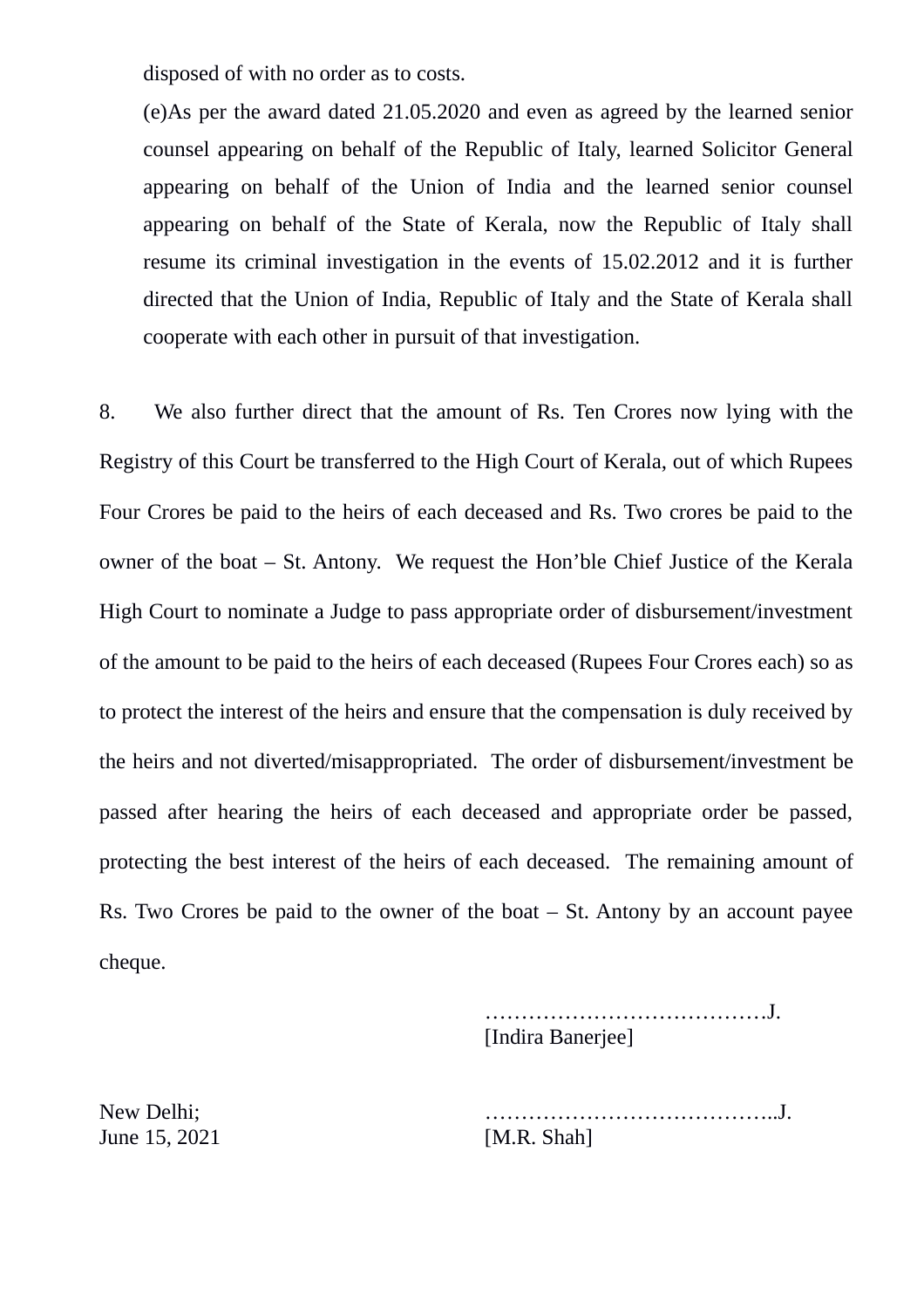disposed of with no order as to costs.

(e)As per the award dated 21.05.2020 and even as agreed by the learned senior counsel appearing on behalf of the Republic of Italy, learned Solicitor General appearing on behalf of the Union of India and the learned senior counsel appearing on behalf of the State of Kerala, now the Republic of Italy shall resume its criminal investigation in the events of 15.02.2012 and it is further directed that the Union of India, Republic of Italy and the State of Kerala shall cooperate with each other in pursuit of that investigation.

8. We also further direct that the amount of Rs. Ten Crores now lying with the Registry of this Court be transferred to the High Court of Kerala, out of which Rupees Four Crores be paid to the heirs of each deceased and Rs. Two crores be paid to the owner of the boat – St. Antony. We request the Hon'ble Chief Justice of the Kerala High Court to nominate a Judge to pass appropriate order of disbursement/investment of the amount to be paid to the heirs of each deceased (Rupees Four Crores each) so as to protect the interest of the heirs and ensure that the compensation is duly received by the heirs and not diverted/misappropriated. The order of disbursement/investment be passed after hearing the heirs of each deceased and appropriate order be passed, protecting the best interest of the heirs of each deceased. The remaining amount of Rs. Two Crores be paid to the owner of the boat  $-$  St. Antony by an account payee cheque.

> …………………………………J. [Indira Banerjee]

New Delhi; …………………………………..J.

June 15, 2021 [M.R. Shah]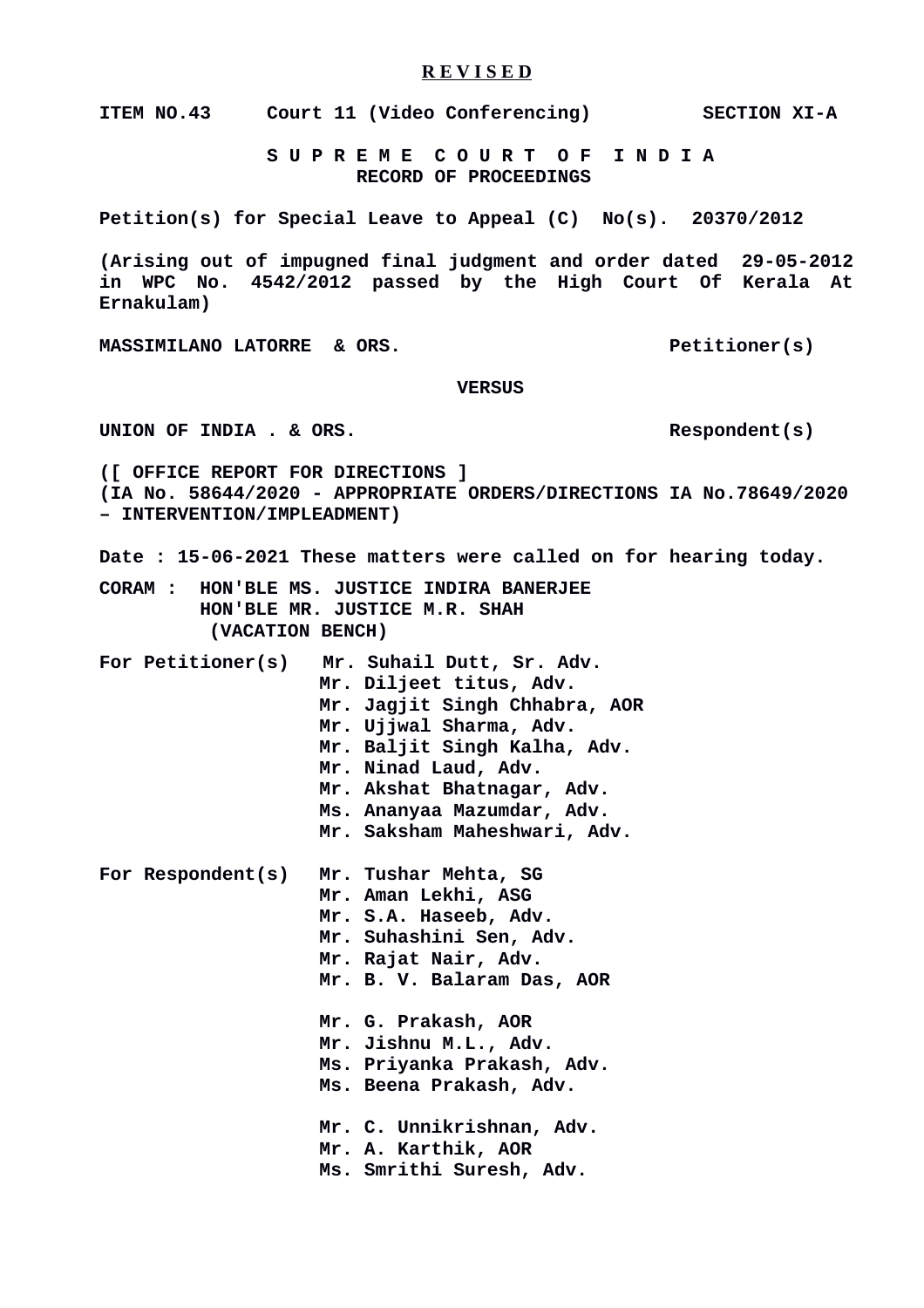#### **R E V I S E D**

**ITEM NO.43 Court 11 (Video Conferencing) SECTION XI-A**

 **S U P R E M E C O U R T O F I N D I A RECORD OF PROCEEDINGS**

**Petition(s) for Special Leave to Appeal (C) No(s). 20370/2012**

**(Arising out of impugned final judgment and order dated 29-05-2012 in WPC No. 4542/2012 passed by the High Court Of Kerala At Ernakulam)**

MASSIMILANO LATORRE & ORS. Petitioner(s)

 **VERSUS**

UNION OF INDIA . & ORS.

**([ OFFICE REPORT FOR DIRECTIONS ] (IA No. 58644/2020 - APPROPRIATE ORDERS/DIRECTIONS IA No.78649/2020 – INTERVENTION/IMPLEADMENT)**

**Date : 15-06-2021 These matters were called on for hearing today.**

**CORAM : HON'BLE MS. JUSTICE INDIRA BANERJEE HON'BLE MR. JUSTICE M.R. SHAH (VACATION BENCH)**

**For Petitioner(s) Mr. Suhail Dutt, Sr. Adv. Mr. Diljeet titus, Adv. Mr. Jagjit Singh Chhabra, AOR Mr. Ujjwal Sharma, Adv. Mr. Baljit Singh Kalha, Adv. Mr. Ninad Laud, Adv. Mr. Akshat Bhatnagar, Adv. Ms. Ananyaa Mazumdar, Adv. Mr. Saksham Maheshwari, Adv. For Respondent(s) Mr. Tushar Mehta, SG Mr. Aman Lekhi, ASG Mr. S.A. Haseeb, Adv. Mr. Suhashini Sen, Adv. Mr. Rajat Nair, Adv. Mr. B. V. Balaram Das, AOR**

> **Mr. G. Prakash, AOR Mr. Jishnu M.L., Adv.**

**Ms. Priyanka Prakash, Adv.**

**Ms. Beena Prakash, Adv.**

 **Mr. C. Unnikrishnan, Adv. Mr. A. Karthik, AOR Ms. Smrithi Suresh, Adv.**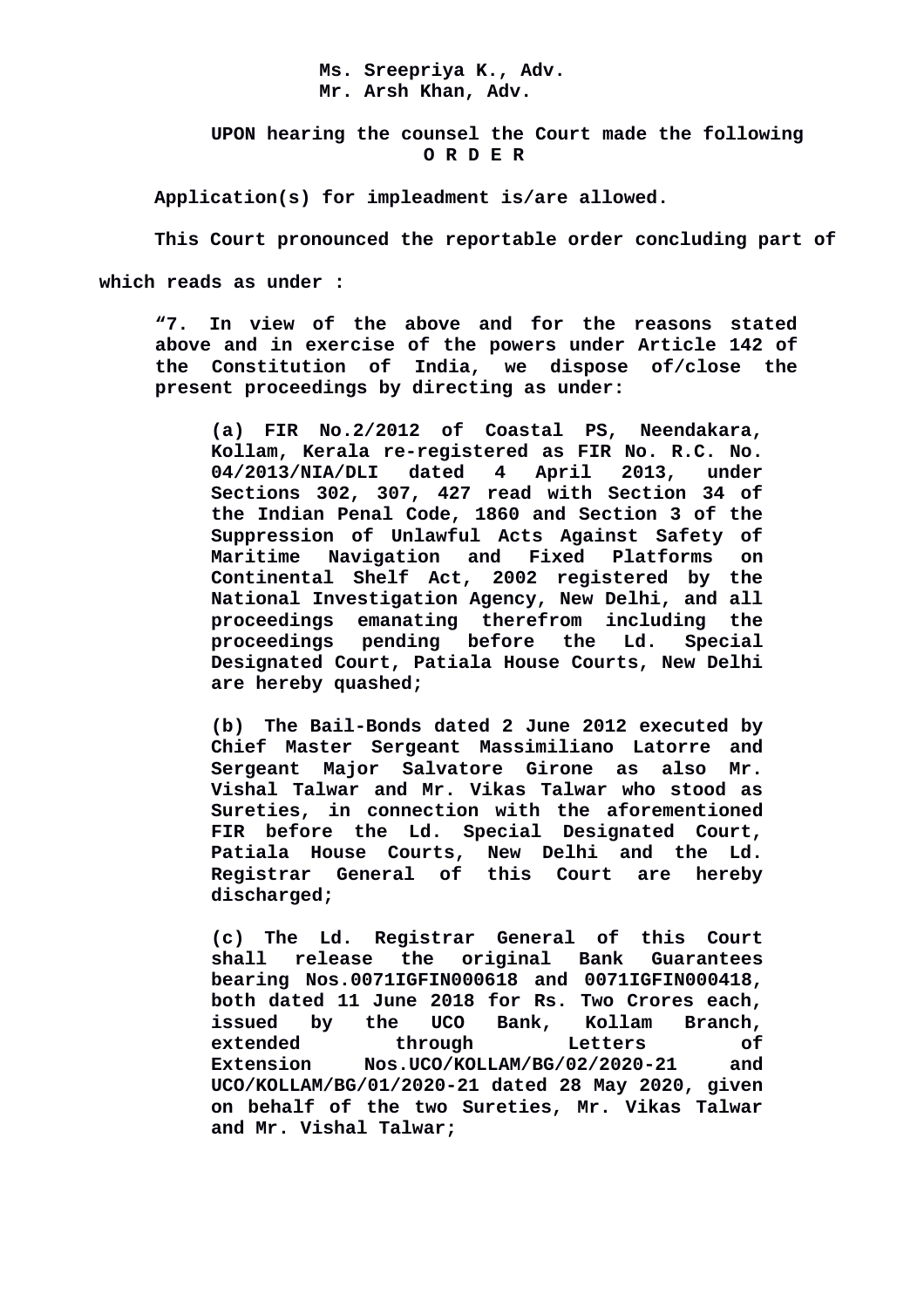#### **Ms. Sreepriya K., Adv. Mr. Arsh Khan, Adv.**

 **UPON hearing the counsel the Court made the following O R D E R**

**Application(s) for impleadment is/are allowed.** 

**This Court pronounced the reportable order concluding part of which reads as under :**

**"7. In view of the above and for the reasons stated above and in exercise of the powers under Article 142 of the Constitution of India, we dispose of/close the present proceedings by directing as under:**

**(a) FIR No.2/2012 of Coastal PS, Neendakara, Kollam, Kerala re-registered as FIR No. R.C. No. 04/2013/NIA/DLI dated 4 April 2013, under Sections 302, 307, 427 read with Section 34 of the Indian Penal Code, 1860 and Section 3 of the Suppression of Unlawful Acts Against Safety of Maritime Navigation and Fixed Platforms on Continental Shelf Act, 2002 registered by the National Investigation Agency, New Delhi, and all proceedings emanating therefrom including the proceedings pending before the Ld. Special Designated Court, Patiala House Courts, New Delhi are hereby quashed;**

**(b) The Bail-Bonds dated 2 June 2012 executed by Chief Master Sergeant Massimiliano Latorre and Sergeant Major Salvatore Girone as also Mr. Vishal Talwar and Mr. Vikas Talwar who stood as Sureties, in connection with the aforementioned FIR before the Ld. Special Designated Court, Patiala House Courts, New Delhi and the Ld. Registrar General of this Court are hereby discharged;**

**(c) The Ld. Registrar General of this Court shall release the original Bank Guarantees bearing Nos.0071IGFIN000618 and 0071IGFIN000418, both dated 11 June 2018 for Rs. Two Crores each, issued by the UCO Bank, Kollam Branch, extended through Letters of Extension Nos.UCO/KOLLAM/BG/02/2020-21 and UCO/KOLLAM/BG/01/2020-21 dated 28 May 2020, given on behalf of the two Sureties, Mr. Vikas Talwar and Mr. Vishal Talwar;**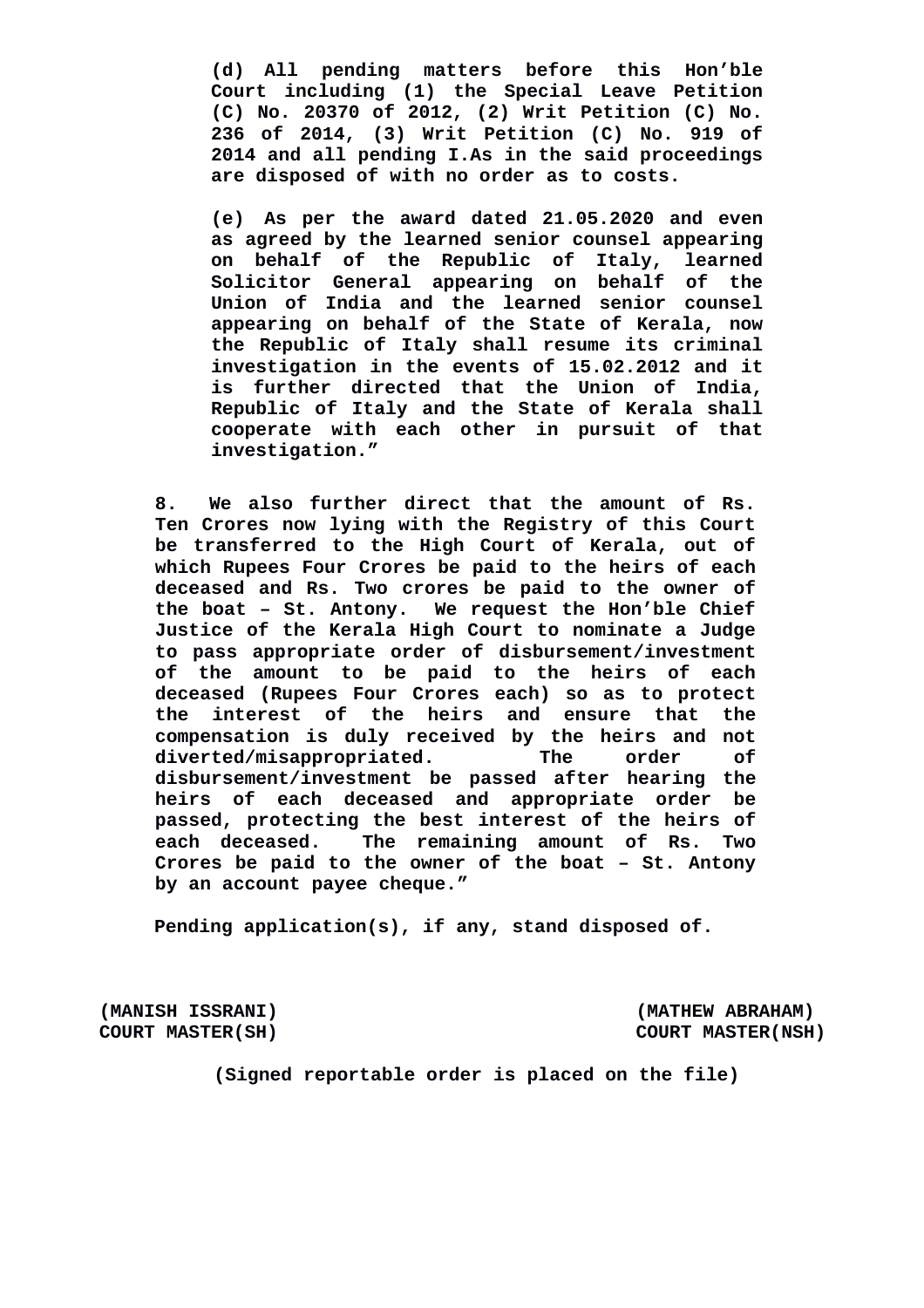**(d) All pending matters before this Hon'ble Court including (1) the Special Leave Petition (C) No. 20370 of 2012, (2) Writ Petition (C) No. 236 of 2014, (3) Writ Petition (C) No. 919 of 2014 and all pending I.As in the said proceedings are disposed of with no order as to costs.**

**(e) As per the award dated 21.05.2020 and even as agreed by the learned senior counsel appearing on behalf of the Republic of Italy, learned Solicitor General appearing on behalf of the Union of India and the learned senior counsel appearing on behalf of the State of Kerala, now the Republic of Italy shall resume its criminal investigation in the events of 15.02.2012 and it is further directed that the Union of India, Republic of Italy and the State of Kerala shall cooperate with each other in pursuit of that investigation."** 

**8. We also further direct that the amount of Rs. Ten Crores now lying with the Registry of this Court be transferred to the High Court of Kerala, out of which Rupees Four Crores be paid to the heirs of each deceased and Rs. Two crores be paid to the owner of the boat – St. Antony. We request the Hon'ble Chief Justice of the Kerala High Court to nominate a Judge to pass appropriate order of disbursement/investment of the amount to be paid to the heirs of each deceased (Rupees Four Crores each) so as to protect the interest of the heirs and ensure that the compensation is duly received by the heirs and not diverted/misappropriated. The order of disbursement/investment be passed after hearing the heirs of each deceased and appropriate order be passed, protecting the best interest of the heirs of each deceased. The remaining amount of Rs. Two Crores be paid to the owner of the boat – St. Antony by an account payee cheque."**

**Pending application(s), if any, stand disposed of.** 

**(MANISH ISSRANI) (MATHEW ABRAHAM)**

**COURT MASTER(SH) COURT MASTER(NSH)** 

**(Signed reportable order is placed on the file)**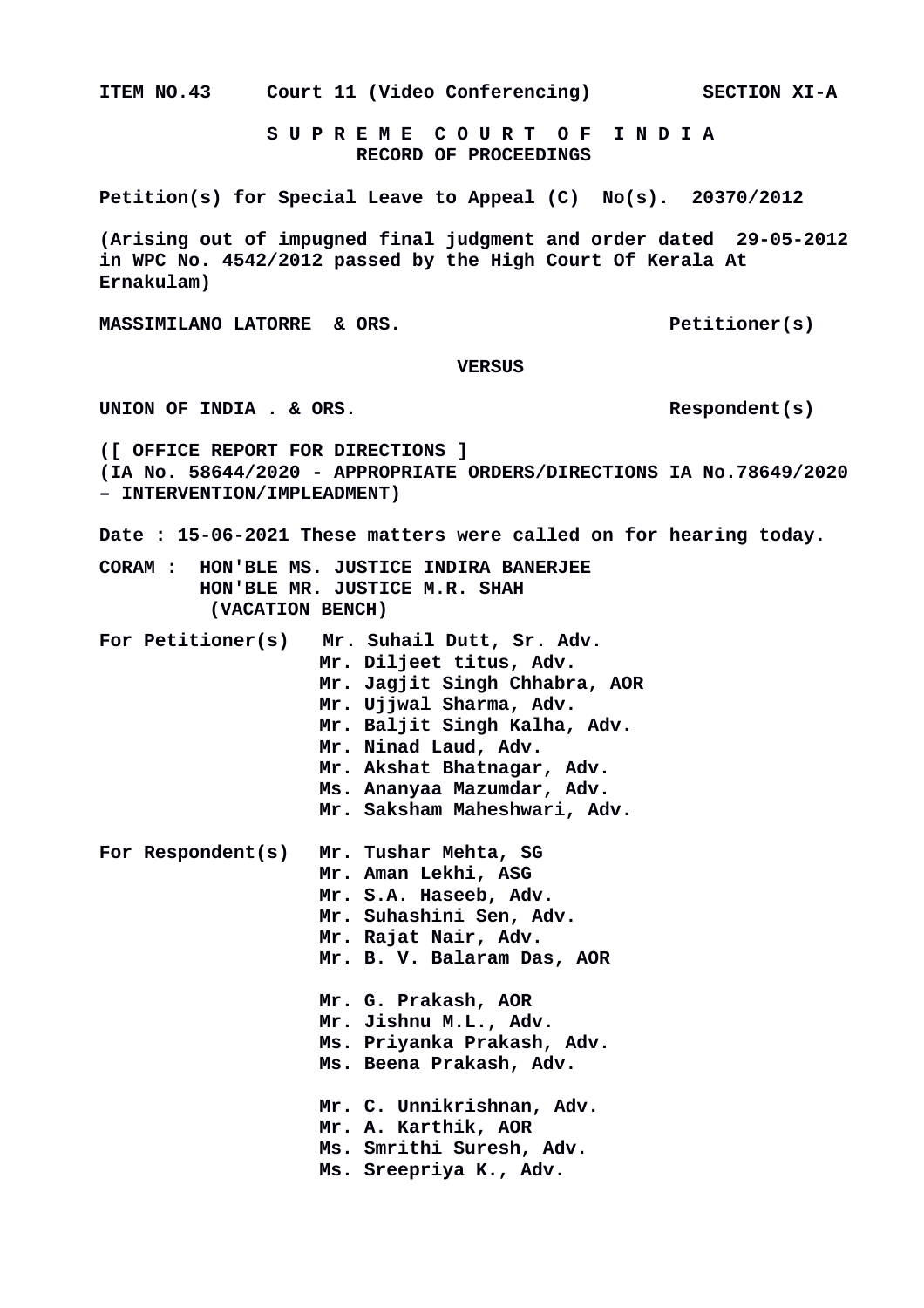**ITEM NO.43 Court 11 (Video Conferencing) SECTION XI-A S U P R E M E C O U R T O F I N D I A RECORD OF PROCEEDINGS Petition(s) for Special Leave to Appeal (C) No(s). 20370/2012 (Arising out of impugned final judgment and order dated 29-05-2012 in WPC No. 4542/2012 passed by the High Court Of Kerala At Ernakulam) MASSIMILANO LATORRE & ORS.** Petitioner(s)  **VERSUS** UNION OF INDIA . & ORS. **([ OFFICE REPORT FOR DIRECTIONS ] (IA No. 58644/2020 - APPROPRIATE ORDERS/DIRECTIONS IA No.78649/2020 – INTERVENTION/IMPLEADMENT) Date : 15-06-2021 These matters were called on for hearing today. CORAM : HON'BLE MS. JUSTICE INDIRA BANERJEE HON'BLE MR. JUSTICE M.R. SHAH (VACATION BENCH) For Petitioner(s) Mr. Suhail Dutt, Sr. Adv. Mr. Diljeet titus, Adv. Mr. Jagjit Singh Chhabra, AOR Mr. Ujjwal Sharma, Adv. Mr. Baljit Singh Kalha, Adv. Mr. Ninad Laud, Adv. Mr. Akshat Bhatnagar, Adv. Ms. Ananyaa Mazumdar, Adv. Mr. Saksham Maheshwari, Adv. For Respondent(s) Mr. Tushar Mehta, SG Mr. Aman Lekhi, ASG Mr. S.A. Haseeb, Adv. Mr. Suhashini Sen, Adv. Mr. Rajat Nair, Adv. Mr. B. V. Balaram Das, AOR Mr. G. Prakash, AOR Mr. Jishnu M.L., Adv. Ms. Priyanka Prakash, Adv. Ms. Beena Prakash, Adv. Mr. C. Unnikrishnan, Adv. Mr. A. Karthik, AOR Ms. Smrithi Suresh, Adv. Ms. Sreepriya K., Adv.**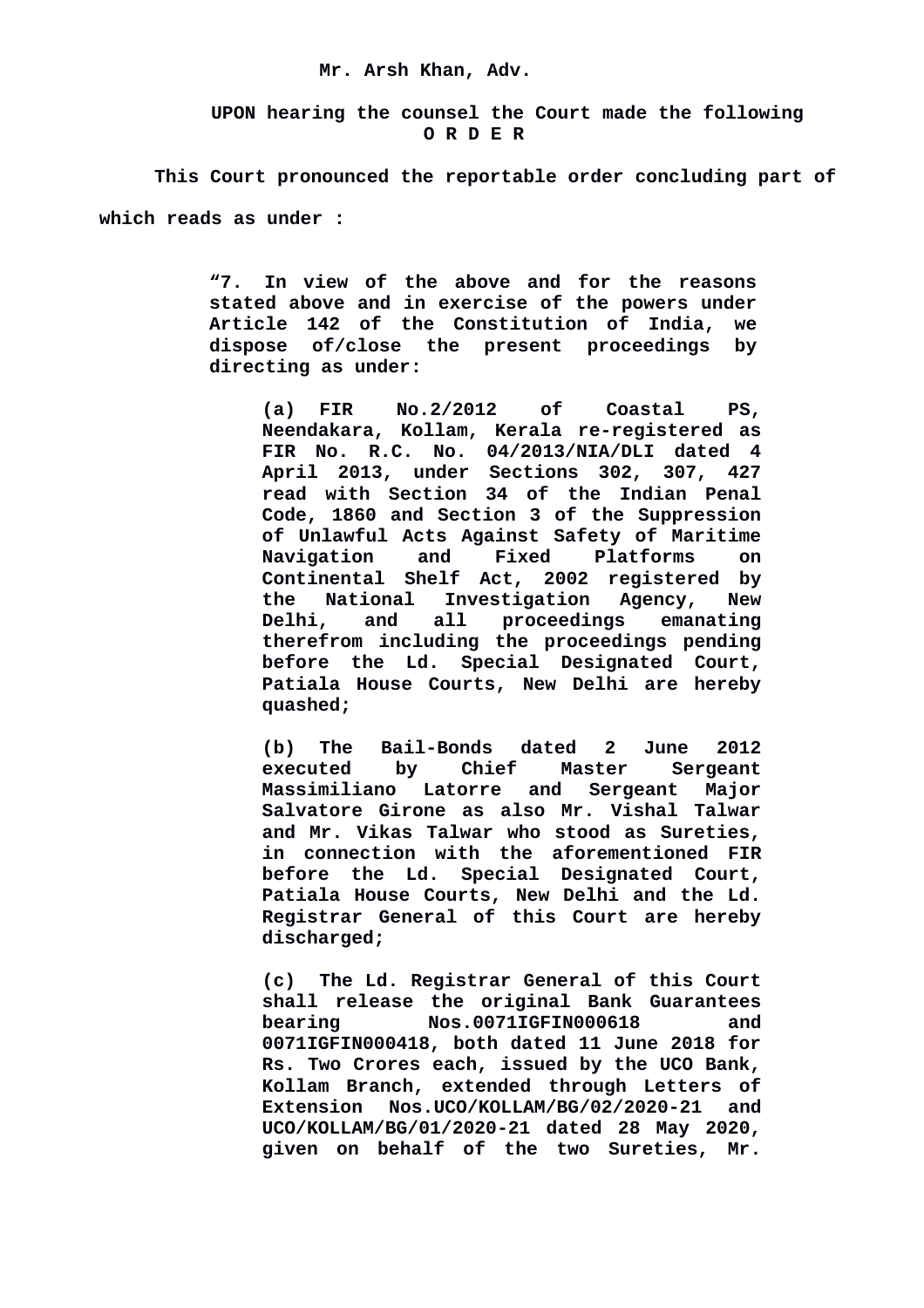#### **Mr. Arsh Khan, Adv.**

 **UPON hearing the counsel the Court made the following O R D E R**

**This Court pronounced the reportable order concluding part of which reads as under :**

> **"7. In view of the above and for the reasons stated above and in exercise of the powers under Article 142 of the Constitution of India, we dispose of/close the present proceedings by directing as under:**

**(a) FIR No.2/2012 of Coastal PS, Neendakara, Kollam, Kerala re-registered as FIR No. R.C. No. 04/2013/NIA/DLI dated 4 April 2013, under Sections 302, 307, 427 read with Section 34 of the Indian Penal Code, 1860 and Section 3 of the Suppression of Unlawful Acts Against Safety of Maritime Navigation and Fixed Platforms on Continental Shelf Act, 2002 registered by the National Investigation Agency, New Delhi, and all proceedings emanating therefrom including the proceedings pending before the Ld. Special Designated Court, Patiala House Courts, New Delhi are hereby quashed;**

**(b) The Bail-Bonds dated 2 June 2012 executed by Chief Master Sergeant Massimiliano Latorre and Sergeant Major Salvatore Girone as also Mr. Vishal Talwar and Mr. Vikas Talwar who stood as Sureties, in connection with the aforementioned FIR before the Ld. Special Designated Court, Patiala House Courts, New Delhi and the Ld. Registrar General of this Court are hereby discharged;**

**(c) The Ld. Registrar General of this Court shall release the original Bank Guarantees bearing Nos.0071IGFIN000618 and 0071IGFIN000418, both dated 11 June 2018 for Rs. Two Crores each, issued by the UCO Bank, Kollam Branch, extended through Letters of Extension Nos.UCO/KOLLAM/BG/02/2020-21 and UCO/KOLLAM/BG/01/2020-21 dated 28 May 2020, given on behalf of the two Sureties, Mr.**